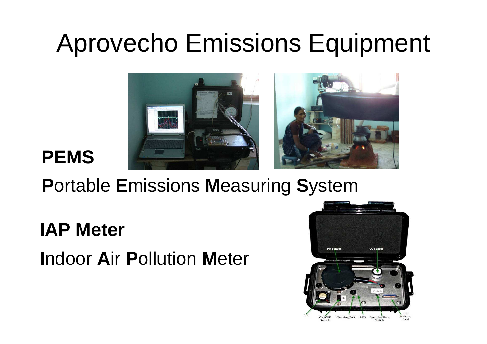### Aprovecho Emissions Equipment



#### **PEMS**

#### **P**ortable **E**missions **M**easuring **S**ystem

#### **IAP Meter**

#### **I**ndoor **A**ir **P**ollution **M**eter

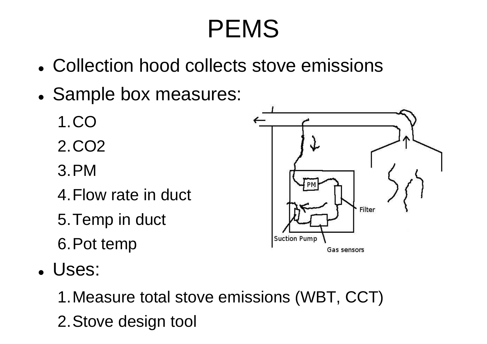- $\bullet$ Collection hood collects stove emissions
- 0 Sample box measures:
	- 1.CO
	- 2.CO2
	- 3.PM
	- 4.Flow rate in duct
	- 5.Temp in duct
	- 6.Pot temp

Filter **Suction Pump** Gas sensors

 $\bullet$ Uses:

> 1.Measure total stove emissions (WBT, CCT) 2.Stove design tool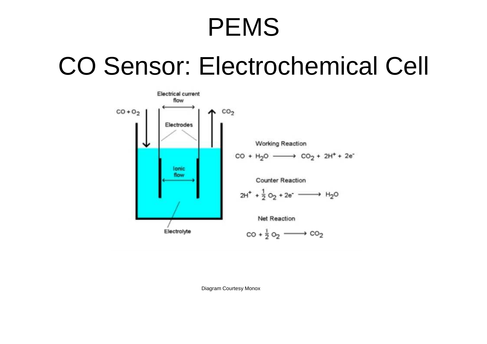#### CO Sensor: Electrochemical Cell



Diagram Courtesy Monox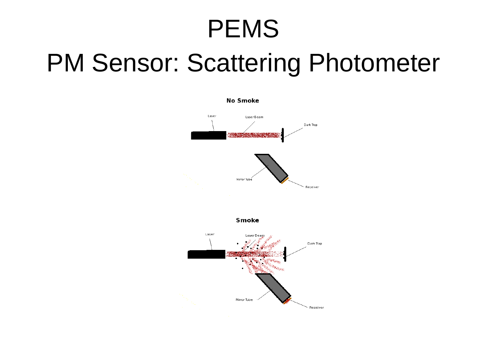#### PM Sensor: Scattering Photometer

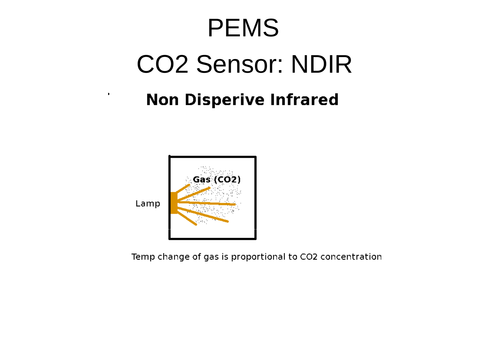# CO2 Sensor: NDIRPEMS

#### **Non Disperive Infrared**



 $\ddot{\phantom{0}}$ 

Temp change of gas is proportional to CO2 concentration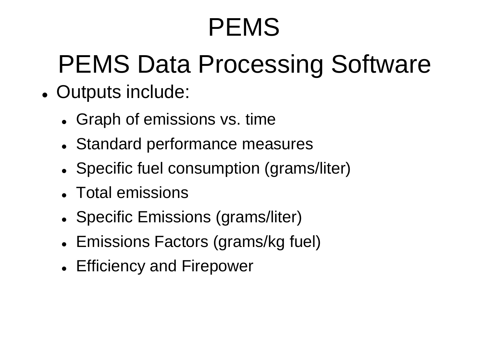# PEMS Data Processing Software

- $\bullet$  Outputs include:
	- Graph of emissions vs. time
	- 0 Standard performance measures
	- 0 • Specific fuel consumption (grams/liter)
	- 0 Total emissions
	- 0 • Specific Emissions (grams/liter)
	- 0 Emissions Factors (grams/kg fuel)
	- 0 Efficiency and Firepower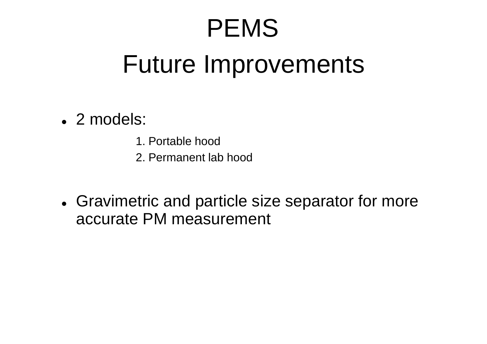#### Future Improvements

- 2 models:
	- 1. Portable hood
	- 2. Permanent lab hood
- 0 Gravimetric and particle size separator for more accurate PM measurement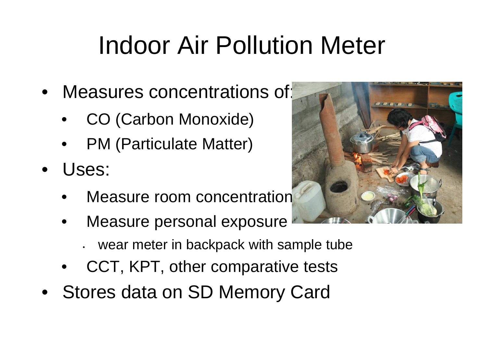# Indoor Air Pollution Meter

- Measures concentrations of:
	- •CO (Carbon Monoxide)
	- •PM (Particulate Matter)
- • Uses:
	- •Measure room concentration
	- • Measure personal exposure
		- wear meter in backpack with sample tube
	- •CCT, KPT, other comparative tests
- Stores data on SD Memory Card

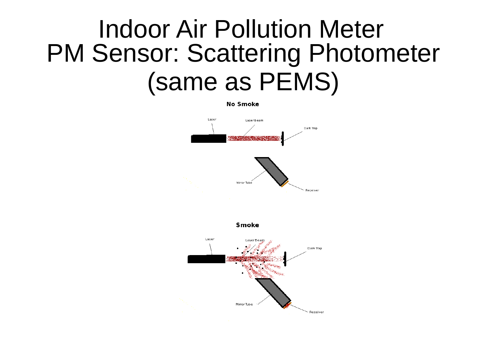#### PM Sensor: Scattering Photometer(same as PEMS)Indoor Air Pollution Meter

**No Smoke** 



Receiver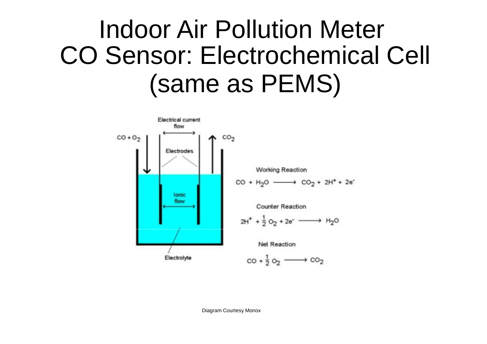#### CO Sensor: Electrochemical Cell (same as PEMS)Indoor Air Pollution Meter

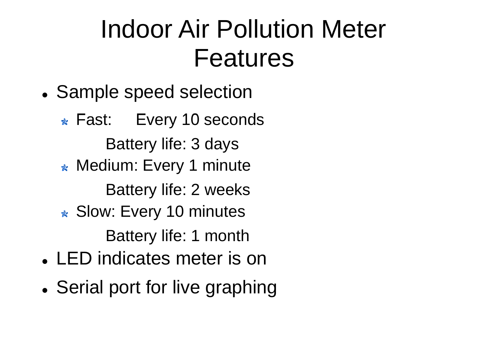### FeaturesIndoor Air Pollution Meter

- $\bullet$ Sample speed selection
- Fast: Every 10 secondsBattery life: 3 days**Medium: Every 1 minute** Battery life: 2 weeks**★ Slow: Every 10 minutes** Battery life: 1 monthLED indicates meter is on
- Serial port for live graphing

 $\bullet$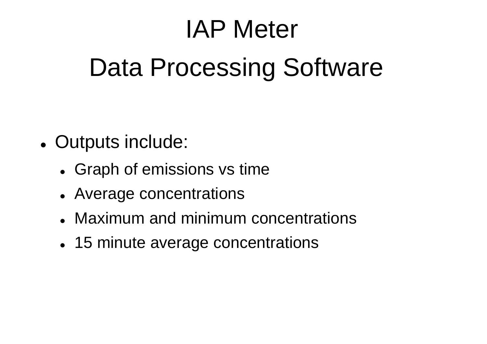# Data Processing SoftwareIAP Meter

- $\bullet$  Outputs include:
	- $\bullet$ Graph of emissions vs time
	- Average concentrations
	- Maximum and minimum concentrations
	- $\bullet$ 15 minute average concentrations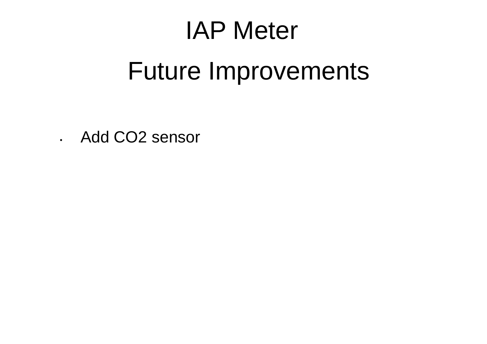### IAP Meter

#### Future Improvements

• Add CO2 sensor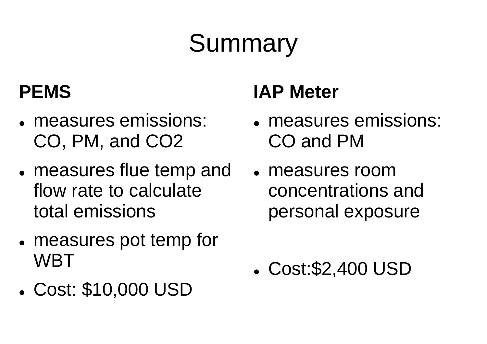# Summary

#### **PEMS**

- measures emissions: • measures emissions: • measures emissions: CO, PM, and CO2
- $\bullet$  measures flue temp and flow rate to calculate total emissions
- $\bullet$  measures pot temp for WBT
- $\bullet$ Cost: \$10,000 USD

#### **IAP Meter**

- $\bullet$ CO and PM
- measures room concentrations and personal exposure

 $\bullet$ Cost:\$2,400 USD